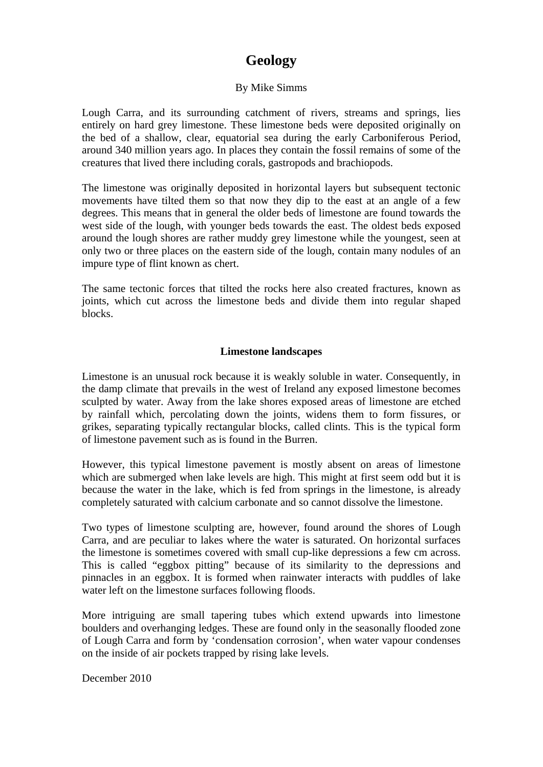## **Geology**

## By Mike Simms

Lough Carra, and its surrounding catchment of rivers, streams and springs, lies entirely on hard grey limestone. These limestone beds were deposited originally on the bed of a shallow, clear, equatorial sea during the early Carboniferous Period, around 340 million years ago. In places they contain the fossil remains of some of the creatures that lived there including corals, gastropods and brachiopods.

The limestone was originally deposited in horizontal layers but subsequent tectonic movements have tilted them so that now they dip to the east at an angle of a few degrees. This means that in general the older beds of limestone are found towards the west side of the lough, with younger beds towards the east. The oldest beds exposed around the lough shores are rather muddy grey limestone while the youngest, seen at only two or three places on the eastern side of the lough, contain many nodules of an impure type of flint known as chert.

The same tectonic forces that tilted the rocks here also created fractures, known as joints, which cut across the limestone beds and divide them into regular shaped blocks.

## **Limestone landscapes**

Limestone is an unusual rock because it is weakly soluble in water. Consequently, in the damp climate that prevails in the west of Ireland any exposed limestone becomes sculpted by water. Away from the lake shores exposed areas of limestone are etched by rainfall which, percolating down the joints, widens them to form fissures, or grikes, separating typically rectangular blocks, called clints. This is the typical form of limestone pavement such as is found in the Burren.

However, this typical limestone pavement is mostly absent on areas of limestone which are submerged when lake levels are high. This might at first seem odd but it is because the water in the lake, which is fed from springs in the limestone, is already completely saturated with calcium carbonate and so cannot dissolve the limestone.

Two types of limestone sculpting are, however, found around the shores of Lough Carra, and are peculiar to lakes where the water is saturated. On horizontal surfaces the limestone is sometimes covered with small cup-like depressions a few cm across. This is called "eggbox pitting" because of its similarity to the depressions and pinnacles in an eggbox. It is formed when rainwater interacts with puddles of lake water left on the limestone surfaces following floods.

More intriguing are small tapering tubes which extend upwards into limestone boulders and overhanging ledges. These are found only in the seasonally flooded zone of Lough Carra and form by 'condensation corrosion', when water vapour condenses on the inside of air pockets trapped by rising lake levels.

December 2010